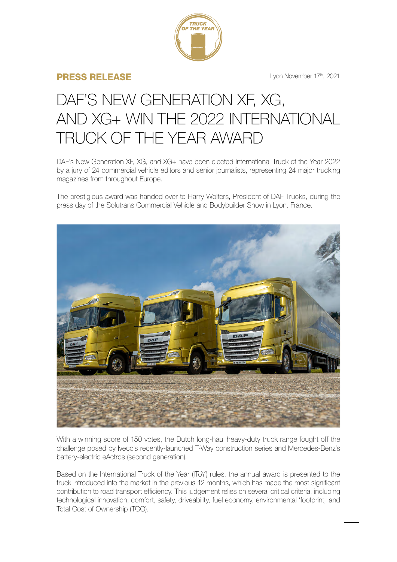

## PRESS RELEASE

Lyon November 17th, 2021

## DAF'S NEW GENERATION XF, XG, AND XG+ WIN THE 2022 INTERNATIONAL TRUCK OF THE YEAR AWARD

DAF's New Generation XF, XG, and XG+ have been elected International Truck of the Year 2022 by a jury of 24 commercial vehicle editors and senior journalists, representing 24 major trucking magazines from throughout Europe.

The prestigious award was handed over to Harry Wolters, President of DAF Trucks, during the press day of the Solutrans Commercial Vehicle and Bodybuilder Show in Lyon, France.



With a winning score of 150 votes, the Dutch long-haul heavy-duty truck range fought off the challenge posed by Iveco's recently-launched T-Way construction series and Mercedes-Benz's battery-electric eActros (second generation).

Based on the International Truck of the Year (IToY) rules, the annual award is presented to the truck introduced into the market in the previous 12 months, which has made the most significant contribution to road transport efficiency. This judgement relies on several critical criteria, including technological innovation, comfort, safety, driveability, fuel economy, environmental 'footprint,' and Total Cost of Ownership (TCO).